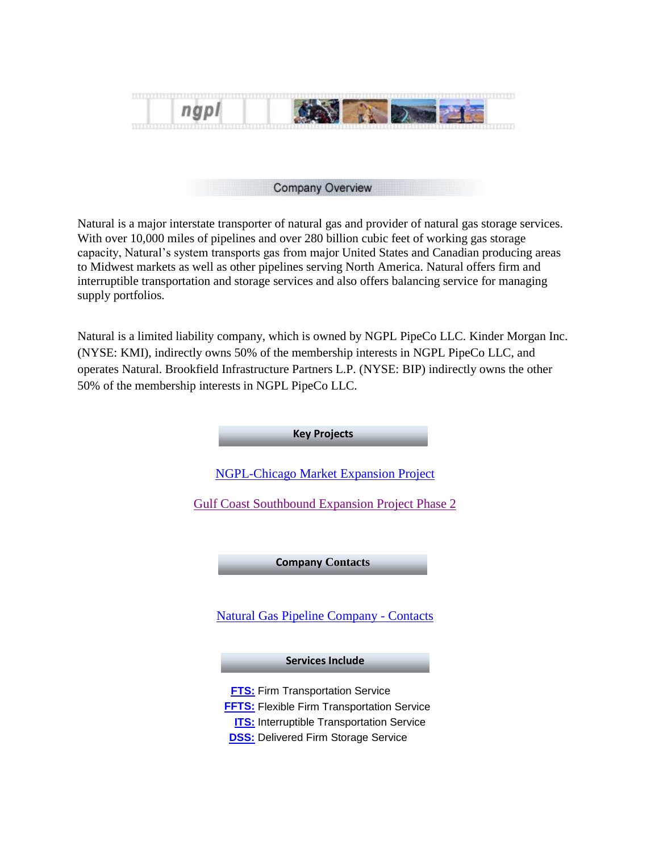

#### Company Overview

Natural is a major interstate transporter of natural gas and provider of natural gas storage services. With over 10,000 miles of pipelines and over 280 billion cubic feet of working gas storage capacity, Natural's system transports gas from major United States and Canadian producing areas to Midwest markets as well as other pipelines serving North America. Natural offers firm and interruptible transportation and storage services and also offers balancing service for managing supply portfolios.

Natural is a limited liability company, which is owned by NGPL PipeCo LLC. Kinder Morgan Inc. (NYSE: KMI), indirectly owns 50% of the membership interests in NGPL PipeCo LLC, and operates Natural. Brookfield Infrastructure Partners L.P. (NYSE: BIP) indirectly owns the other 50% of the membership interests in NGPL PipeCo LLC.

**Key Projects**

[NGPL-Chicago Market Expansion Project](http://www.kindermorgan.com/pages/business/gas_pipelines/central/chicago/)

[Gulf Coast Southbound Expansion Project Phase 2](http://www.kindermorgan.com/business/gas_pipelines/central/gulfcoast/)

**Company Contacts**

[Natural Gas Pipeline Company -](http://pipeportal.kindermorgan.com/PortalUI/DownloadDocs/DART/NGPL/Forms/NGPL_ContactUs.pdf) Contacts

#### **Services Include**

**[FTS:](#page-1-0) Firm Transportation Service** 

**[FFTS:](#page-1-1)** Flexible Firm Transportation Service

**[ITS:](#page-1-2)** Interruptible Transportation Service

**[DSS:](#page-1-3)** Delivered Firm Storage Service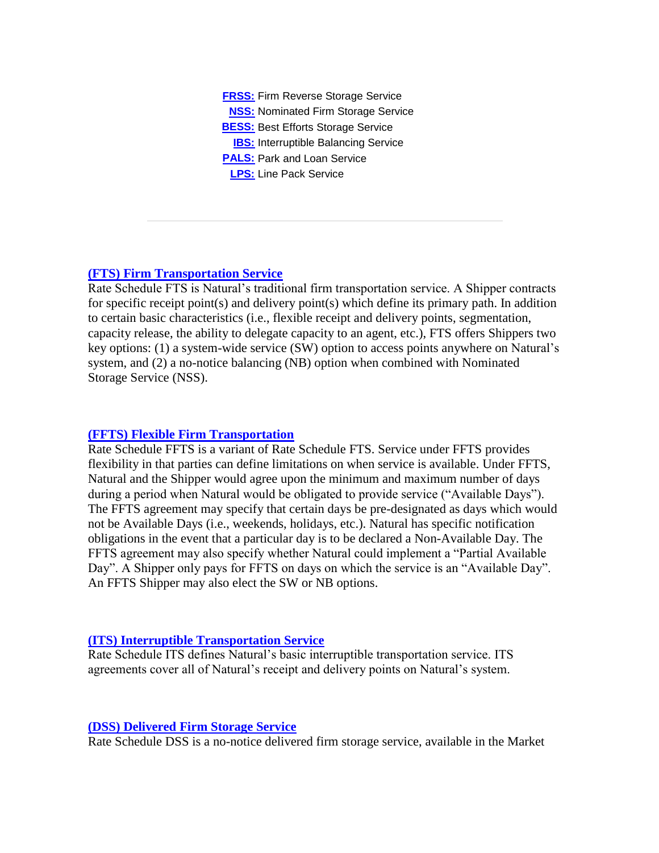**[FRSS:](#page-2-0)** Firm Reverse Storage Service **[NSS:](#page-2-1)** Nominated Firm Storage Service **[BESS:](#page-3-0) Best Efforts Storage Service [IBS:](#page-3-1)** Interruptible Balancing Service **[PALS:](#page-3-2)** Park and Loan Service **[LPS:](#page-3-3)** Line Pack Service

# <span id="page-1-0"></span>**[\(FTS\) Firm Transportation Service](#page-3-0)**

Rate Schedule FTS is Natural's traditional firm transportation service. A Shipper contracts for specific receipt point(s) and delivery point(s) which define its primary path. In addition to certain basic characteristics (i.e., flexible receipt and delivery points, segmentation, capacity release, the ability to delegate capacity to an agent, etc.), FTS offers Shippers two key options: (1) a system-wide service (SW) option to access points anywhere on Natural's system, and (2) a no-notice balancing (NB) option when combined with Nominated Storage Service (NSS).

# <span id="page-1-1"></span>**[\(FFTS\) Flexible Firm Transportation](#page-1-1)**

Rate Schedule FFTS is a variant of Rate Schedule FTS. Service under FFTS provides flexibility in that parties can define limitations on when service is available. Under FFTS, Natural and the Shipper would agree upon the minimum and maximum number of days during a period when Natural would be obligated to provide service ("Available Days"). The FFTS agreement may specify that certain days be pre-designated as days which would not be Available Days (i.e., weekends, holidays, etc.). Natural has specific notification obligations in the event that a particular day is to be declared a Non-Available Day. The FFTS agreement may also specify whether Natural could implement a "Partial Available Day". A Shipper only pays for FFTS on days on which the service is an "Available Day". An FFTS Shipper may also elect the SW or NB options.

# <span id="page-1-2"></span>**[\(ITS\) Interruptible Transportation Service](#page-1-2)**

Rate Schedule ITS defines Natural's basic interruptible transportation service. ITS agreements cover all of Natural's receipt and delivery points on Natural's system.

# <span id="page-1-3"></span>**[\(DSS\) Delivered Firm Storage Service](#page-1-3)**

Rate Schedule DSS is a no-notice delivered firm storage service, available in the Market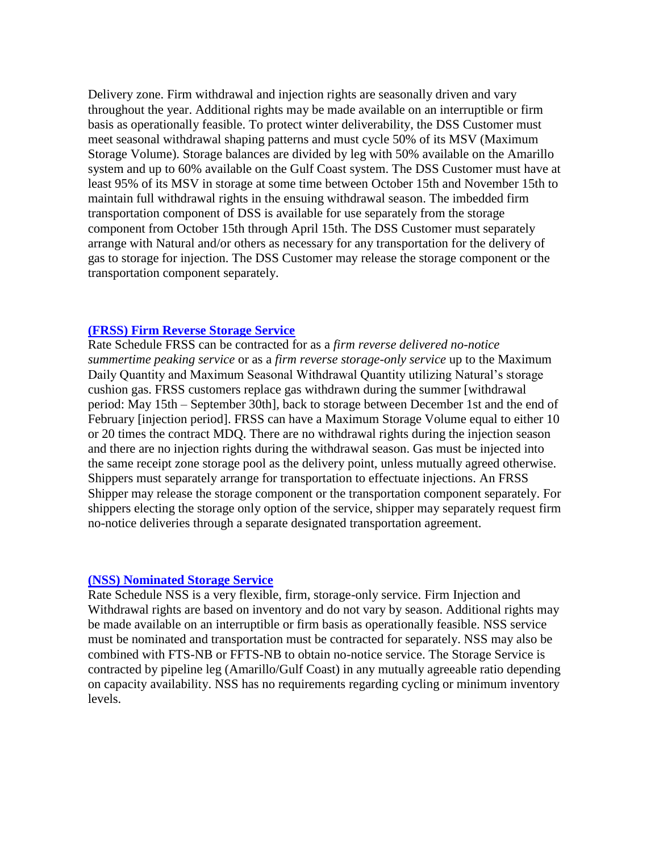Delivery zone. Firm withdrawal and injection rights are seasonally driven and vary throughout the year. Additional rights may be made available on an interruptible or firm basis as operationally feasible. To protect winter deliverability, the DSS Customer must meet seasonal withdrawal shaping patterns and must cycle 50% of its MSV (Maximum Storage Volume). Storage balances are divided by leg with 50% available on the Amarillo system and up to 60% available on the Gulf Coast system. The DSS Customer must have at least 95% of its MSV in storage at some time between October 15th and November 15th to maintain full withdrawal rights in the ensuing withdrawal season. The imbedded firm transportation component of DSS is available for use separately from the storage component from October 15th through April 15th. The DSS Customer must separately arrange with Natural and/or others as necessary for any transportation for the delivery of gas to storage for injection. The DSS Customer may release the storage component or the transportation component separately.

### <span id="page-2-0"></span>**[\(FRSS\) Firm Reverse Storage Service](#page-2-0)**

Rate Schedule FRSS can be contracted for as a *firm reverse delivered no-notice summertime peaking service* or as a *firm reverse storage-only service* up to the Maximum Daily Quantity and Maximum Seasonal Withdrawal Quantity utilizing Natural's storage cushion gas. FRSS customers replace gas withdrawn during the summer [withdrawal period: May 15th – September 30th], back to storage between December 1st and the end of February [injection period]. FRSS can have a Maximum Storage Volume equal to either 10 or 20 times the contract MDQ. There are no withdrawal rights during the injection season and there are no injection rights during the withdrawal season. Gas must be injected into the same receipt zone storage pool as the delivery point, unless mutually agreed otherwise. Shippers must separately arrange for transportation to effectuate injections. An FRSS Shipper may release the storage component or the transportation component separately. For shippers electing the storage only option of the service, shipper may separately request firm no-notice deliveries through a separate designated transportation agreement.

### <span id="page-2-1"></span>**[\(NSS\) Nominated Storage Service](#page-2-1)**

Rate Schedule NSS is a very flexible, firm, storage-only service. Firm Injection and Withdrawal rights are based on inventory and do not vary by season. Additional rights may be made available on an interruptible or firm basis as operationally feasible. NSS service must be nominated and transportation must be contracted for separately. NSS may also be combined with FTS-NB or FFTS-NB to obtain no-notice service. The Storage Service is contracted by pipeline leg (Amarillo/Gulf Coast) in any mutually agreeable ratio depending on capacity availability. NSS has no requirements regarding cycling or minimum inventory levels.